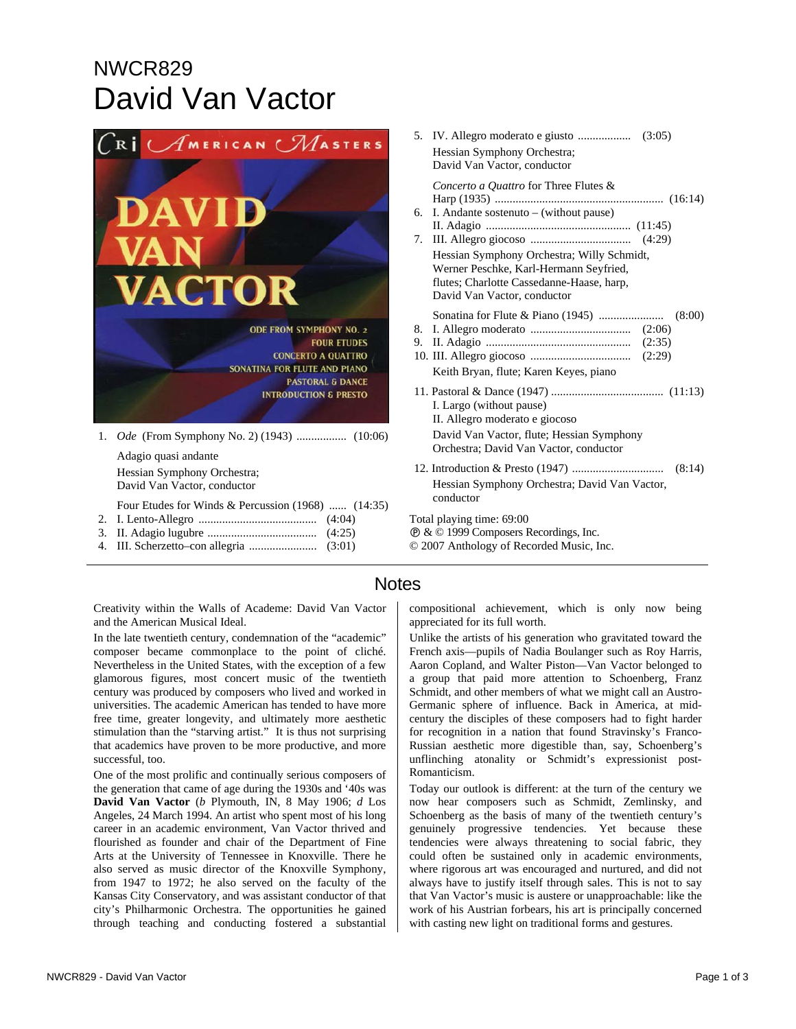## NWCR829 David Van Vactor



Four Etudes for Winds & Percussion (1968) ...... (14:35)

- 2. I. Lento-Allegro ........................................ (4:04)
- 3. II. Adagio lugubre ..................................... (4:25)
- 4. III. Scherzetto–con allegria ....................... (3:01)

| Hessian Symphony Orchestra;<br>David Van Vactor, conductor                                                                                                                                                                                                      |
|-----------------------------------------------------------------------------------------------------------------------------------------------------------------------------------------------------------------------------------------------------------------|
| Concerto a Quattro for Three Flutes &<br>I. Andante sostenuto – (without pause)<br>6.<br>7.<br>Hessian Symphony Orchestra; Willy Schmidt,<br>Werner Peschke, Karl-Hermann Seyfried,<br>flutes; Charlotte Cassedanne-Haase, harp,<br>David Van Vactor, conductor |
| (8:00)<br>8.<br>9.<br>Keith Bryan, flute; Karen Keyes, piano                                                                                                                                                                                                    |
| I. Largo (without pause)<br>II. Allegro moderato e giocoso<br>David Van Vactor, flute; Hessian Symphony<br>Orchestra; David Van Vactor, conductor                                                                                                               |
| Hessian Symphony Orchestra; David Van Vactor,<br>conductor                                                                                                                                                                                                      |
| Total playing time: 69:00<br><b>@ &amp; © 1999 Composers Recordings, Inc.</b>                                                                                                                                                                                   |

© 2007 Anthology of Recorded Music, Inc.

## **Notes**

Creativity within the Walls of Academe: David Van Vactor and the American Musical Ideal.

In the late twentieth century, condemnation of the "academic" composer became commonplace to the point of cliché. Nevertheless in the United States, with the exception of a few glamorous figures, most concert music of the twentieth century was produced by composers who lived and worked in universities. The academic American has tended to have more free time, greater longevity, and ultimately more aesthetic stimulation than the "starving artist." It is thus not surprising that academics have proven to be more productive, and more successful, too.

One of the most prolific and continually serious composers of the generation that came of age during the 1930s and '40s was **David Van Vactor** (*b* Plymouth, IN, 8 May 1906; *d* Los Angeles, 24 March 1994. An artist who spent most of his long career in an academic environment, Van Vactor thrived and flourished as founder and chair of the Department of Fine Arts at the University of Tennessee in Knoxville. There he also served as music director of the Knoxville Symphony, from 1947 to 1972; he also served on the faculty of the Kansas City Conservatory, and was assistant conductor of that city's Philharmonic Orchestra. The opportunities he gained through teaching and conducting fostered a substantial

compositional achievement, which is only now being appreciated for its full worth.

Unlike the artists of his generation who gravitated toward the French axis—pupils of Nadia Boulanger such as Roy Harris, Aaron Copland, and Walter Piston—Van Vactor belonged to a group that paid more attention to Schoenberg, Franz Schmidt, and other members of what we might call an Austro-Germanic sphere of influence. Back in America, at midcentury the disciples of these composers had to fight harder for recognition in a nation that found Stravinsky's Franco-Russian aesthetic more digestible than, say, Schoenberg's unflinching atonality or Schmidt's expressionist post-Romanticism.

Today our outlook is different: at the turn of the century we now hear composers such as Schmidt, Zemlinsky, and Schoenberg as the basis of many of the twentieth century's genuinely progressive tendencies. Yet because these tendencies were always threatening to social fabric, they could often be sustained only in academic environments, where rigorous art was encouraged and nurtured, and did not always have to justify itself through sales. This is not to say that Van Vactor's music is austere or unapproachable: like the work of his Austrian forbears, his art is principally concerned with casting new light on traditional forms and gestures.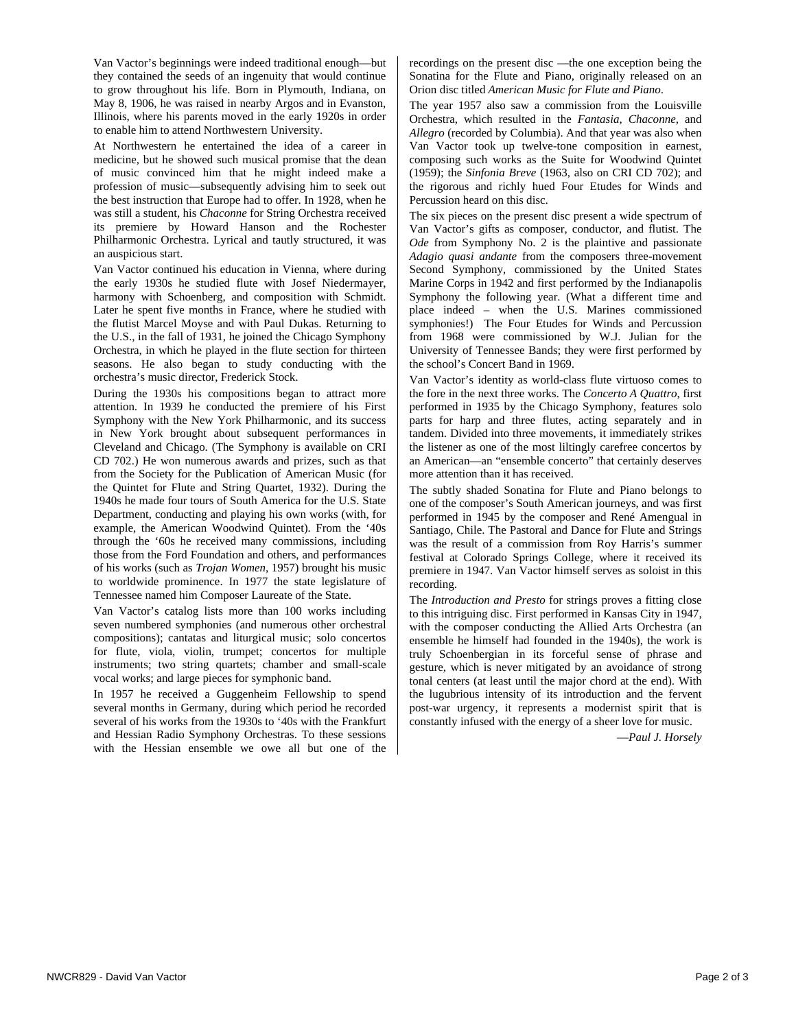Van Vactor's beginnings were indeed traditional enough—but they contained the seeds of an ingenuity that would continue to grow throughout his life. Born in Plymouth, Indiana, on May 8, 1906, he was raised in nearby Argos and in Evanston, Illinois, where his parents moved in the early 1920s in order to enable him to attend Northwestern University.

At Northwestern he entertained the idea of a career in medicine, but he showed such musical promise that the dean of music convinced him that he might indeed make a profession of music—subsequently advising him to seek out the best instruction that Europe had to offer. In 1928, when he was still a student, his *Chaconne* for String Orchestra received its premiere by Howard Hanson and the Rochester Philharmonic Orchestra. Lyrical and tautly structured, it was an auspicious start.

Van Vactor continued his education in Vienna, where during the early 1930s he studied flute with Josef Niedermayer, harmony with Schoenberg, and composition with Schmidt. Later he spent five months in France, where he studied with the flutist Marcel Moyse and with Paul Dukas. Returning to the U.S., in the fall of 1931, he joined the Chicago Symphony Orchestra, in which he played in the flute section for thirteen seasons. He also began to study conducting with the orchestra's music director, Frederick Stock.

During the 1930s his compositions began to attract more attention. In 1939 he conducted the premiere of his First Symphony with the New York Philharmonic, and its success in New York brought about subsequent performances in Cleveland and Chicago. (The Symphony is available on CRI CD 702.) He won numerous awards and prizes, such as that from the Society for the Publication of American Music (for the Quintet for Flute and String Quartet, 1932). During the 1940s he made four tours of South America for the U.S. State Department, conducting and playing his own works (with, for example, the American Woodwind Quintet). From the '40s through the '60s he received many commissions, including those from the Ford Foundation and others, and performances of his works (such as *Trojan Women*, 1957) brought his music to worldwide prominence. In 1977 the state legislature of Tennessee named him Composer Laureate of the State.

Van Vactor's catalog lists more than 100 works including seven numbered symphonies (and numerous other orchestral compositions); cantatas and liturgical music; solo concertos for flute, viola, violin, trumpet; concertos for multiple instruments; two string quartets; chamber and small-scale vocal works; and large pieces for symphonic band.

In 1957 he received a Guggenheim Fellowship to spend several months in Germany, during which period he recorded several of his works from the 1930s to '40s with the Frankfurt and Hessian Radio Symphony Orchestras. To these sessions with the Hessian ensemble we owe all but one of the recordings on the present disc —the one exception being the Sonatina for the Flute and Piano, originally released on an Orion disc titled *American Music for Flute and Piano*.

The year 1957 also saw a commission from the Louisville Orchestra, which resulted in the *Fantasia, Chaconne,* and *Allegro* (recorded by Columbia). And that year was also when Van Vactor took up twelve-tone composition in earnest, composing such works as the Suite for Woodwind Quintet (1959); the *Sinfonia Breve* (1963, also on CRI CD 702); and the rigorous and richly hued Four Etudes for Winds and Percussion heard on this disc.

The six pieces on the present disc present a wide spectrum of Van Vactor's gifts as composer, conductor, and flutist. The *Ode* from Symphony No. 2 is the plaintive and passionate *Adagio quasi andante* from the composers three-movement Second Symphony, commissioned by the United States Marine Corps in 1942 and first performed by the Indianapolis Symphony the following year. (What a different time and place indeed – when the U.S. Marines commissioned symphonies!) The Four Etudes for Winds and Percussion from 1968 were commissioned by W.J. Julian for the University of Tennessee Bands; they were first performed by the school's Concert Band in 1969.

Van Vactor's identity as world-class flute virtuoso comes to the fore in the next three works. The *Concerto A Quattro*, first performed in 1935 by the Chicago Symphony, features solo parts for harp and three flutes, acting separately and in tandem. Divided into three movements, it immediately strikes the listener as one of the most liltingly carefree concertos by an American—an "ensemble concerto" that certainly deserves more attention than it has received.

The subtly shaded Sonatina for Flute and Piano belongs to one of the composer's South American journeys, and was first performed in 1945 by the composer and René Amengual in Santiago, Chile. The Pastoral and Dance for Flute and Strings was the result of a commission from Roy Harris's summer festival at Colorado Springs College, where it received its premiere in 1947. Van Vactor himself serves as soloist in this recording.

The *Introduction and Presto* for strings proves a fitting close to this intriguing disc. First performed in Kansas City in 1947, with the composer conducting the Allied Arts Orchestra (an ensemble he himself had founded in the 1940s), the work is truly Schoenbergian in its forceful sense of phrase and gesture, which is never mitigated by an avoidance of strong tonal centers (at least until the major chord at the end). With the lugubrious intensity of its introduction and the fervent post-war urgency, it represents a modernist spirit that is constantly infused with the energy of a sheer love for music.

—*Paul J. Horsely*